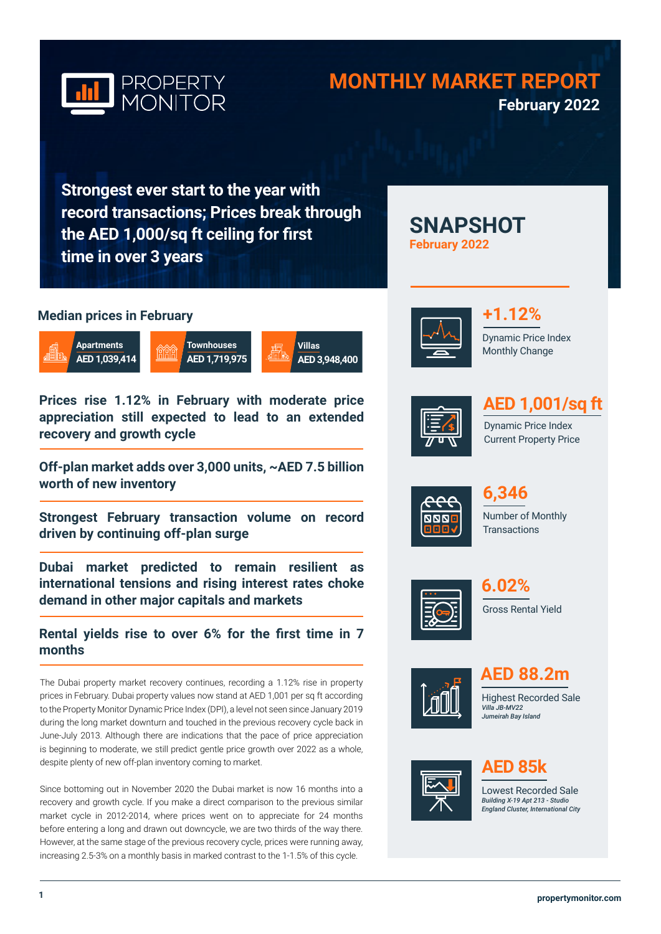

# **MONTHLY MARKET REPORT February 2022**

**SNAPSHOT** 

**February 2022**

**Strongest ever start to the year with record transactions; Prices break through the AED 1,000/sq ft ceiling for first time in over 3 years**

# **Median prices in February**



**Prices rise 1.12% in February with moderate price appreciation still expected to lead to an extended recovery and growth cycle** 

**Off-plan market adds over 3,000 units, ~AED 7.5 billion worth of new inventory** 

**Strongest February transaction volume on record driven by continuing off-plan surge**

**Dubai market predicted to remain resilient as international tensions and rising interest rates choke demand in other major capitals and markets**

**Rental yields rise to over 6% for the first time in 7 months**

The Dubai property market recovery continues, recording a 1.12% rise in property prices in February. Dubai property values now stand at AED 1,001 per sq ft according to the Property Monitor Dynamic Price Index (DPI), a level not seen since January 2019 during the long market downturn and touched in the previous recovery cycle back in June-July 2013. Although there are indications that the pace of price appreciation is beginning to moderate, we still predict gentle price growth over 2022 as a whole, despite plenty of new off-plan inventory coming to market.

Since bottoming out in November 2020 the Dubai market is now 16 months into a recovery and growth cycle. If you make a direct comparison to the previous similar market cycle in 2012-2014, where prices went on to appreciate for 24 months before entering a long and drawn out downcycle, we are two thirds of the way there. However, at the same stage of the previous recovery cycle, prices were running away, increasing 2.5-3% on a monthly basis in marked contrast to the 1-1.5% of this cycle.



Dynamic Price Index Monthly Change **+1.12%**



# **AED 1,001/sq ft**

Dynamic Price Index Current Property Price



Number of Monthly **Transactions 6,346** 



Gross Rental Yield **6.02%**



**AED 88.2m**

Highest Recorded Sale *Villa JB-MV22 Jumeirah Bay Island*



# **AED 85k**

Lowest Recorded Sale *Building X-19 Apt 213 - Studio England Cluster, International City*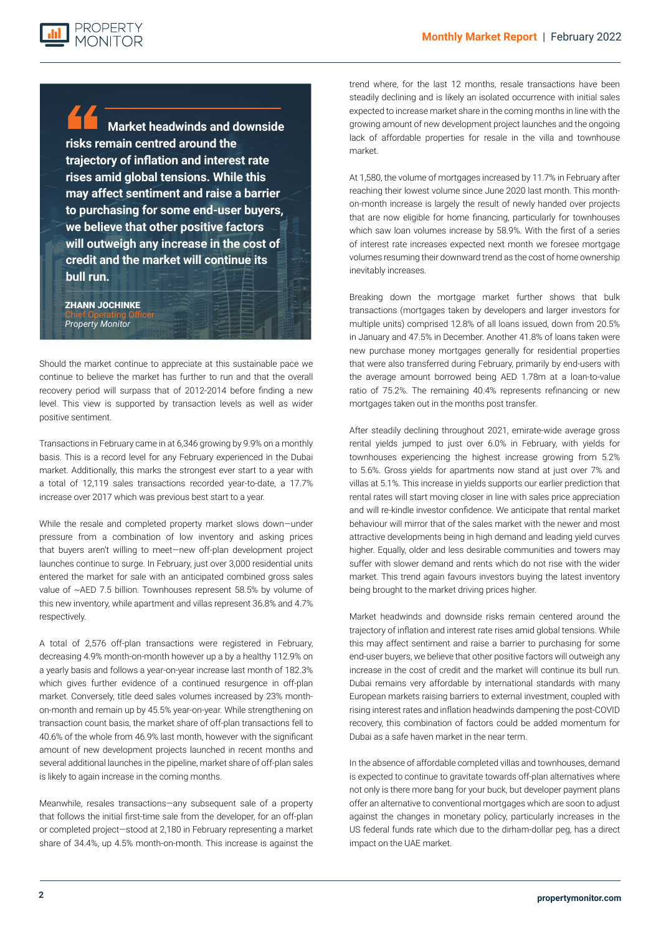

**Market headwinds and downside risks remain centred around the trajectory of inflation and interest rate rises amid global tensions. While this may affect sentiment and raise a barrier to purchasing for some end-user buyers, we believe that other positive factors will outweigh any increase in the cost of credit and the market will continue its bull run.**

ZHANN JOCHINKE Chief Operating Officer *Property Monitor*

**Looking forward, while the Dubai property market is starting to show signs of cooling off, it is likely that growth will continue although at a slower, sustainable rate of appreciation. Headwinds and downside risks are rising as**  Should the market continue to appreciate at this sustainable pace we continue to believe the market has further to run and that the overall recovery period will surpass that of 2012-2014 before finding a new level. This view is supported by transaction levels as well as wider positive sentiment.

**property affordability in the villa and townhouse segments hits a ceiling locally and inflation continues to grow in the United States and Europe. However, the relative affordability of Dubai compared to other major global cities and the likely influx of new**  Transactions in February came in at 6,346 growing by 9.9% on a monthly basis. This is a record level for any February experienced in the Dubai market. Additionally, this marks the strongest ever start to a year with a total of 12,119 sales transactions recorded year-to-date, a 17.7% increase over 2017 which was previous best start to a year.

> While the resale and completed property market slows down—under pressure from a combination of low inventory and asking prices that buyers aren't willing to meet—new off-plan development project launches continue to surge. In February, just over 3,000 residential units entered the market for sale with an anticipated combined gross sales value of ~AED 7.5 billion. Townhouses represent 58.5% by volume of this new inventory, while apartment and villas represent 36.8% and 4.7% respectively.

> A total of 2,576 off-plan transactions were registered in February, decreasing 4.9% month-on-month however up a by a healthy 112.9% on a yearly basis and follows a year-on-year increase last month of 182.3% which gives further evidence of a continued resurgence in off-plan market. Conversely, title deed sales volumes increased by 23% monthon-month and remain up by 45.5% year-on-year. While strengthening on transaction count basis, the market share of off-plan transactions fell to 40.6% of the whole from 46.9% last month, however with the significant amount of new development projects launched in recent months and several additional launches in the pipeline, market share of off-plan sales is likely to again increase in the coming months.

> Meanwhile, resales transactions—any subsequent sale of a property that follows the initial first-time sale from the developer, for an off-plan or completed project—stood at 2,180 in February representing a market share of 34.4%, up 4.5% month-on-month. This increase is against the

trend where, for the last 12 months, resale transactions have been steadily declining and is likely an isolated occurrence with initial sales expected to increase market share in the coming months in line with the growing amount of new development project launches and the ongoing lack of affordable properties for resale in the villa and townhouse market.

At 1,580, the volume of mortgages increased by 11.7% in February after reaching their lowest volume since June 2020 last month. This monthon-month increase is largely the result of newly handed over projects that are now eligible for home financing, particularly for townhouses which saw loan volumes increase by 58.9%. With the first of a series of interest rate increases expected next month we foresee mortgage volumes resuming their downward trend as the cost of home ownership inevitably increases.

Breaking down the mortgage market further shows that bulk transactions (mortgages taken by developers and larger investors for multiple units) comprised 12.8% of all loans issued, down from 20.5% in January and 47.5% in December. Another 41.8% of loans taken were new purchase money mortgages generally for residential properties that were also transferred during February, primarily by end-users with the average amount borrowed being AED 1.78m at a loan-to-value ratio of 75.2%. The remaining 40.4% represents refinancing or new mortgages taken out in the months post transfer.

After steadily declining throughout 2021, emirate-wide average gross rental yields jumped to just over 6.0% in February, with yields for townhouses experiencing the highest increase growing from 5.2% to 5.6%. Gross yields for apartments now stand at just over 7% and villas at 5.1%. This increase in yields supports our earlier prediction that rental rates will start moving closer in line with sales price appreciation and will re-kindle investor confidence. We anticipate that rental market behaviour will mirror that of the sales market with the newer and most attractive developments being in high demand and leading yield curves higher. Equally, older and less desirable communities and towers may suffer with slower demand and rents which do not rise with the wider market. This trend again favours investors buying the latest inventory being brought to the market driving prices higher.

Market headwinds and downside risks remain centered around the trajectory of inflation and interest rate rises amid global tensions. While this may affect sentiment and raise a barrier to purchasing for some end-user buyers, we believe that other positive factors will outweigh any increase in the cost of credit and the market will continue its bull run. Dubai remains very affordable by international standards with many European markets raising barriers to external investment, coupled with rising interest rates and inflation headwinds dampening the post-COVID recovery, this combination of factors could be added momentum for Dubai as a safe haven market in the near term.

In the absence of affordable completed villas and townhouses, demand is expected to continue to gravitate towards off-plan alternatives where not only is there more bang for your buck, but developer payment plans offer an alternative to conventional mortgages which are soon to adjust against the changes in monetary policy, particularly increases in the US federal funds rate which due to the dirham-dollar peg, has a direct impact on the UAE market.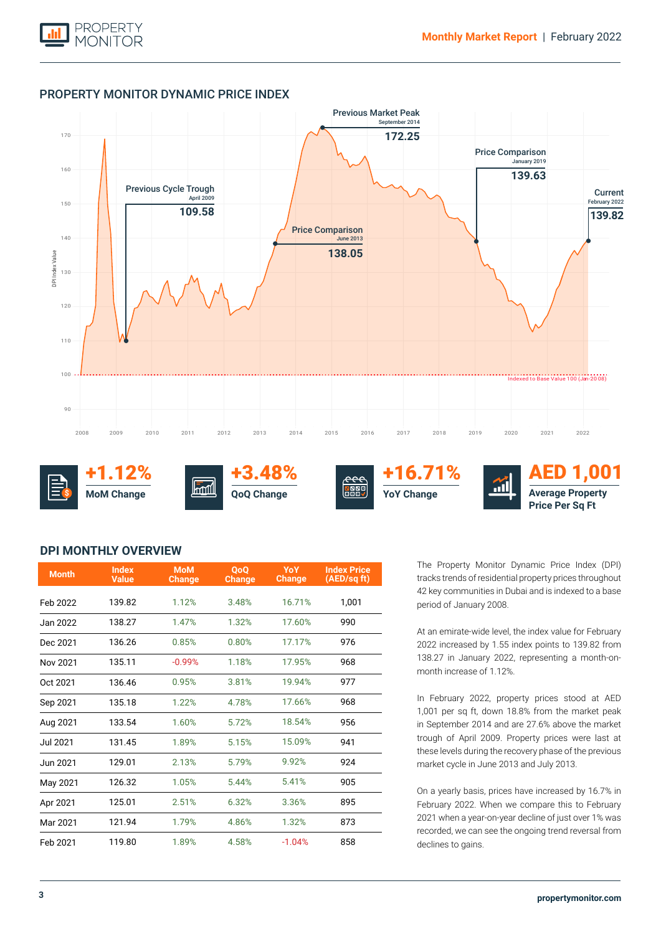

## PROPERTY MONITOR DYNAMIC PRICE INDEX



+1.12% **MoM Change \$**



+3.48% **QoQ Change**





AED 1,001 **Average Property Price Per Sq Ft**

# **DPI MONTHLY OVERVIEW**

| <b>Month</b>    | <b>Index</b><br><b>Value</b> | <b>MoM</b><br><b>Change</b> | <b>OoO</b><br><b>Change</b> | YoY<br><b>Change</b> | <b>Index Price</b><br>(AED/sq ft) |
|-----------------|------------------------------|-----------------------------|-----------------------------|----------------------|-----------------------------------|
| Feb 2022        | 139.82                       | 1.12%                       | 3.48%                       | 16.71%               | 1,001                             |
| Jan 2022        | 138.27                       | 1.47%                       | 1.32%                       | 17.60%               | 990                               |
| Dec 2021        | 136.26                       | 0.85%                       | 0.80%                       | 17.17%               | 976                               |
| Nov 2021        | 135.11                       | $-0.99%$                    | 1.18%                       | 17.95%               | 968                               |
| Oct 2021        | 136.46                       | 0.95%                       | 3.81%                       | 19.94%               | 977                               |
| Sep 2021        | 135.18                       | 1.22%                       | 4.78%                       | 17.66%               | 968                               |
| Aug 2021        | 133.54                       | 1.60%                       | 5.72%                       | 18.54%               | 956                               |
| <b>Jul 2021</b> | 131.45                       | 1.89%                       | 5.15%                       | 15.09%               | 941                               |
| Jun 2021        | 129.01                       | 2.13%                       | 5.79%                       | 9.92%                | 924                               |
| May 2021        | 126.32                       | 1.05%                       | 5.44%                       | 5.41%                | 905                               |
| Apr 2021        | 125.01                       | 2.51%                       | 6.32%                       | 3.36%                | 895                               |
| Mar 2021        | 121.94                       | 1.79%                       | 4.86%                       | 1.32%                | 873                               |
| Feb 2021        | 119.80                       | 1.89%                       | 4.58%                       | $-1.04%$             | 858                               |

The Property Monitor Dynamic Price Index (DPI) tracks trends of residential property prices throughout 42 key communities in Dubai and is indexed to a base period of January 2008.

At an emirate-wide level, the index value for February 2022 increased by 1.55 index points to 139.82 from 138.27 in January 2022, representing a month-onmonth increase of 1.12%.

In February 2022, property prices stood at AED 1,001 per sq ft, down 18.8% from the market peak in September 2014 and are 27.6% above the market trough of April 2009. Property prices were last at these levels during the recovery phase of the previous market cycle in June 2013 and July 2013.

On a yearly basis, prices have increased by 16.7% in February 2022. When we compare this to February 2021 when a year-on-year decline of just over 1% was recorded, we can see the ongoing trend reversal from declines to gains.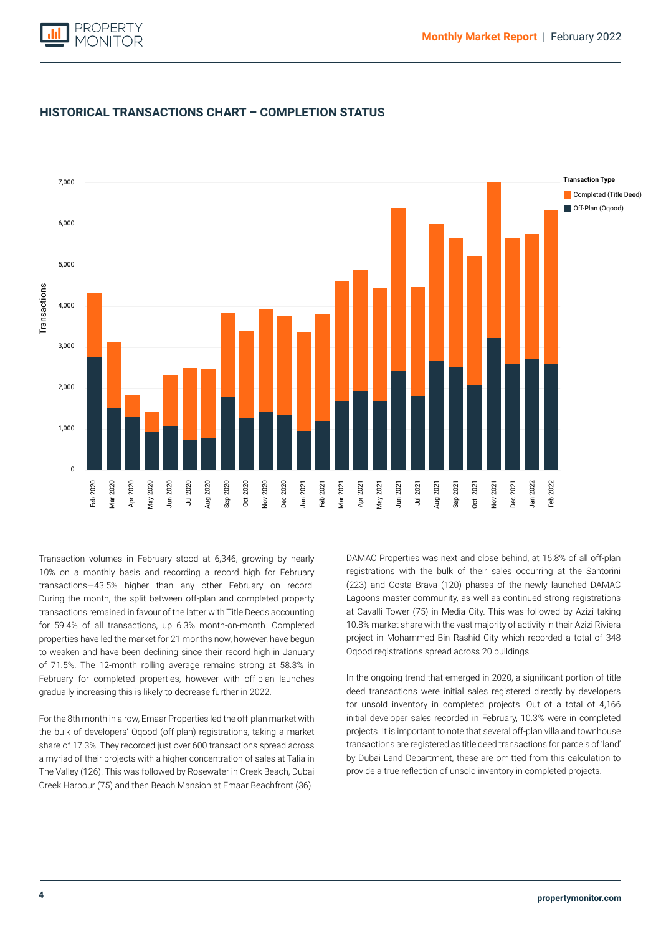



# **HISTORICAL TRANSACTIONS CHART – COMPLETION STATUS**

During the month, the split between off-plan and completed property Completed (Title Deed) transactions remained in favour of the latter with Title Deeds accounting Transaction volumes in February stood at 6,346, growing by nearly 10% on a monthly basis and recording a record high for February transactions—43.5% higher than any other February on record. for 59.4% of all transactions, up 6.3% month-on-month. Completed properties have led the market for 21 months now, however, have begun to weaken and have been declining since their record high in January of 71.5%. The 12-month rolling average remains strong at 58.3% in February for completed properties, however with off-plan launches gradually increasing this is likely to decrease further in 2022.

For the 8th month in a row, Emaar Properties led the off-plan market with the bulk of developers' Oqood (off-plan) registrations, taking a market share of 17.3%. They recorded just over 600 transactions spread across a myriad of their projects with a higher concentration of sales at Talia in The Valley (126). This was followed by Rosewater in Creek Beach, Dubai Creek Harbour (75) and then Beach Mansion at Emaar Beachfront (36).

DAMAC Properties was next and close behind, at 16.8% of all off-plan registrations with the bulk of their sales occurring at the Santorini (223) and Costa Brava (120) phases of the newly launched DAMAC Lagoons master community, as well as continued strong registrations at Cavalli Tower (75) in Media City. This was followed by Azizi taking 10.8% market share with the vast majority of activity in their Azizi Riviera project in Mohammed Bin Rashid City which recorded a total of 348 Oqood registrations spread across 20 buildings.

In the ongoing trend that emerged in 2020, a significant portion of title deed transactions were initial sales registered directly by developers for unsold inventory in completed projects. Out of a total of 4,166 initial developer sales recorded in February, 10.3% were in completed projects. It is important to note that several off-plan villa and townhouse transactions are registered as title deed transactions for parcels of 'land' by Dubai Land Department, these are omitted from this calculation to provide a true reflection of unsold inventory in completed projects.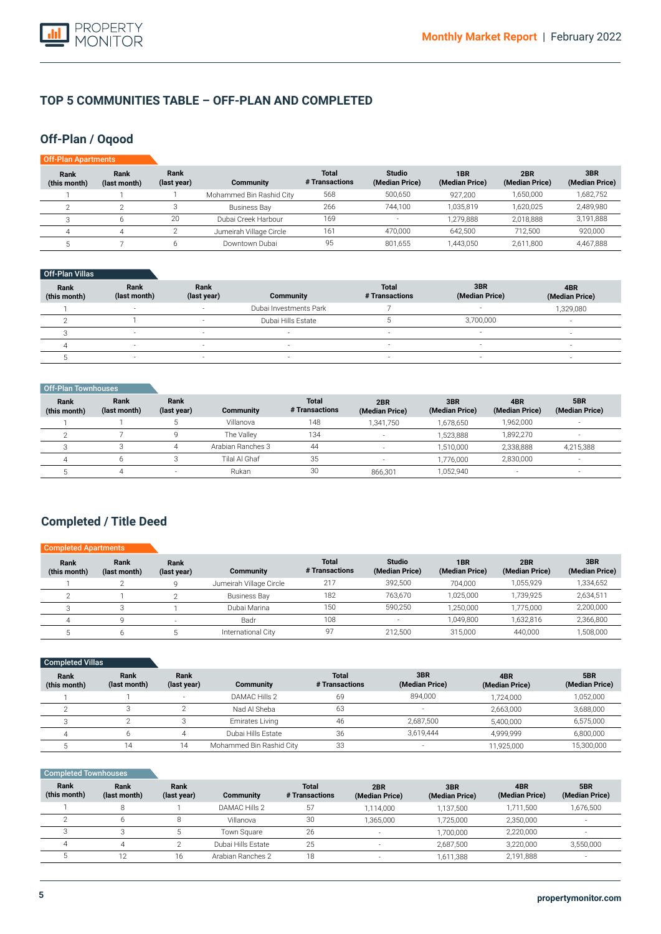

# **TOP 5 COMMUNITIES TABLE – OFF-PLAN AND COMPLETED**

# **Off-Plan / Oqood**

| Off-Plan Apartments  |                      |                     |                          |                         |                                 |                                   |                       |                       |
|----------------------|----------------------|---------------------|--------------------------|-------------------------|---------------------------------|-----------------------------------|-----------------------|-----------------------|
| Rank<br>(this month) | Rank<br>(last month) | Rank<br>(last year) | Community                | Total<br># Transactions | <b>Studio</b><br>(Median Price) | 1 <sub>BR</sub><br>(Median Price) | 2BR<br>(Median Price) | 3BR<br>(Median Price) |
|                      |                      |                     | Mohammed Bin Rashid City | 568                     | 500,650                         | 927,200                           | 1,650,000             | 1,682,752             |
|                      |                      |                     | Business Bay             | 266                     | 744.100                         | 1.035.819                         | 1,620,025             | 2,489,980             |
|                      | 6                    | 20                  | Dubai Creek Harbour      | 169                     | $\overline{\phantom{a}}$        | 1,279,888                         | 2,018,888             | 3,191,888             |
| 4                    | 4                    |                     | Jumeirah Village Circle  | 161                     | 470,000                         | 642.500                           | 712.500               | 920,000               |
|                      |                      |                     | Downtown Dubai           | 95                      | 801,655                         | 1.443.050                         | 2,611,800             | 4,467,888             |

### Off-Plan Villas

| Rank<br>(this month) | Rank<br>(last month)     | Rank<br>(last year)      | Community                | <b>Total</b><br># Transactions | 3BR<br>(Median Price)    | 4BR<br>(Median Price) |
|----------------------|--------------------------|--------------------------|--------------------------|--------------------------------|--------------------------|-----------------------|
|                      |                          |                          | Dubai Investments Park   |                                |                          | 1,329,080             |
|                      |                          |                          | Dubai Hills Estate       |                                | 3,700,000                |                       |
|                      | $\overline{\phantom{a}}$ | $\overline{\phantom{a}}$ | $\overline{\phantom{a}}$ | $\overline{\phantom{a}}$       | $\overline{\phantom{a}}$ | -                     |
|                      | $\overline{\phantom{a}}$ | $\sim$                   | $\overline{\phantom{a}}$ | $\overline{\phantom{a}}$       | $\overline{\phantom{a}}$ |                       |
|                      |                          |                          |                          |                                | $\overline{\phantom{a}}$ |                       |

| Off-Plan Townhouses         |                      |                     |                   |                                |                       |                       |                          |                          |
|-----------------------------|----------------------|---------------------|-------------------|--------------------------------|-----------------------|-----------------------|--------------------------|--------------------------|
| <b>Rank</b><br>(this month) | Rank<br>(last month) | Rank<br>(last year) | Community         | <b>Total</b><br># Transactions | 2BR<br>(Median Price) | 3BR<br>(Median Price) | 4BR<br>(Median Price)    | 5BR<br>(Median Price)    |
|                             |                      |                     | Villanova         | 148                            | 1.341.750             | 1,678,650             | 1,962,000                | $\overline{\phantom{a}}$ |
|                             |                      |                     | The Valley        | 134                            | -                     | 1,523,888             | 1,892,270                | $\overline{\phantom{a}}$ |
|                             |                      |                     | Arabian Ranches 3 | 44                             |                       | 1.510.000             | 2,338,888                | 4,215,388                |
| Δ                           | h                    |                     | Tilal Al Ghaf     | 35                             |                       | 1.776.000             | 2,830,000                | $\overline{\phantom{a}}$ |
|                             |                      |                     | Rukan             | 30                             | 866,301               | 1,052,940             | $\overline{\phantom{a}}$ | ۰                        |

# **Completed / Title Deed**

| <b>Completed Apartments</b> |                      |                     |                         |                                |                                 |                       |                       |                       |
|-----------------------------|----------------------|---------------------|-------------------------|--------------------------------|---------------------------------|-----------------------|-----------------------|-----------------------|
| Rank<br>(this month)        | Rank<br>(last month) | Rank<br>(last year) | Community               | <b>Total</b><br># Transactions | <b>Studio</b><br>(Median Price) | 1BR<br>(Median Price) | 2BR<br>(Median Price) | 3BR<br>(Median Price) |
|                             |                      |                     | Jumeirah Village Circle | 217                            | 392.500                         | 704.000               | 1,055,929             | 1,334,652             |
|                             |                      |                     | <b>Business Bay</b>     | 182                            | 763.670                         | 1,025,000             | 1,739,925             | 2,634,511             |
|                             |                      |                     | Dubai Marina            | 150                            | 590.250                         | 1,250,000             | 1.775.000             | 2,200,000             |
|                             |                      |                     | Badr                    | 108                            | <b>.</b>                        | 1.049.800             | 1.632.816             | 2,366,800             |
|                             |                      |                     | International City      | 97                             | 212,500                         | 315.000               | 440,000               | 1,508,000             |

| <b>Completed Villas</b> |                      |                          |                          |                                |                          |                       |                       |
|-------------------------|----------------------|--------------------------|--------------------------|--------------------------------|--------------------------|-----------------------|-----------------------|
| Rank<br>(this month)    | Rank<br>(last month) | Rank<br>(last year)      | Community                | <b>Total</b><br># Transactions | 3BR<br>(Median Price)    | 4BR<br>(Median Price) | 5BR<br>(Median Price) |
|                         |                      | $\overline{\phantom{a}}$ | DAMAC Hills 2            | 69                             | 894.000                  | 1,724,000             | 1,052,000             |
|                         |                      |                          | Nad Al Sheba             | 63                             | $\overline{\phantom{a}}$ | 2,663,000             | 3,688,000             |
|                         |                      |                          | Emirates Living          | 46                             | 2,687,500                | 5,400,000             | 6,575,000             |
|                         |                      |                          | Dubai Hills Estate       | 36                             | 3,619,444                | 4.999.999             | 6,800,000             |
|                         | 14                   | 14                       | Mohammed Bin Rashid City | 33                             | $\overline{\phantom{a}}$ | 11,925,000            | 15,300,000            |

### **Completed Townhouses**

| Rank<br>(this month) | Rank<br>(last month) | Rank<br>(last year) | Community          | <b>Total</b><br># Transactions | 2BR<br>(Median Price)    | 3BR<br>(Median Price) | 4BR<br>(Median Price) | 5BR<br>(Median Price) |
|----------------------|----------------------|---------------------|--------------------|--------------------------------|--------------------------|-----------------------|-----------------------|-----------------------|
|                      |                      |                     | DAMAC Hills 2      | 57                             | 1,114,000                | 1,137,500             | 1,711,500             | 1,676,500             |
|                      |                      |                     | Villanova          | 30                             | 1.365.000                | 1.725.000             | 2,350,000             |                       |
|                      |                      |                     | Town Square        | 26                             | $\overline{\phantom{a}}$ | 1.700.000             | 2,220,000             |                       |
|                      |                      |                     | Dubai Hills Estate | 25                             | -                        | 2.687.500             | 3.220.000             | 3,550,000             |
|                      | 12                   | 16                  | Arabian Ranches 2  | 18                             | $\sim$                   | 1.611.388             | 2,191,888             |                       |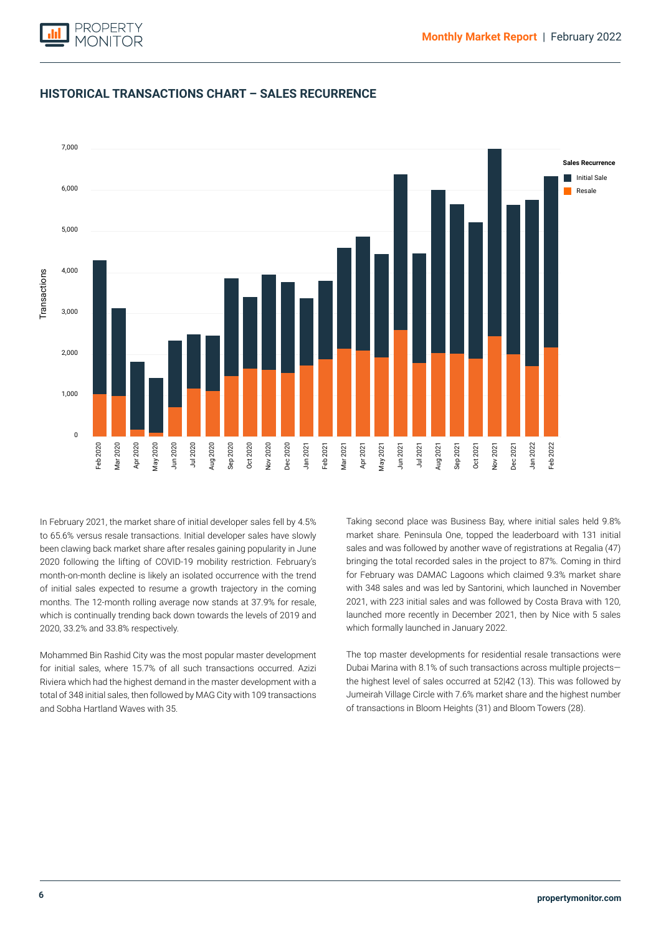

# **HISTORICAL TRANSACTIONS CHART – SALES RECURRENCE**



2020 following the lifting of COVID-19 mobility restriction. February's month-on-month decline is likely an isolated occurrence with the trend of initial sales expected to resume a growth trajectory in the coming In February 2021, the market share of initial developer sales fell by 4.5% to 65.6% versus resale transactions. Initial developer sales have slowly been clawing back market share after resales gaining popularity in June months. The 12-month rolling average now stands at 37.9% for resale, which is continually trending back down towards the levels of 2019 and 2020, 33.2% and 33.8% respectively.

Mohammed Bin Rashid City was the most popular master development for initial sales, where 15.7% of all such transactions occurred. Azizi Riviera which had the highest demand in the master development with a total of 348 initial sales, then followed by MAG City with 109 transactions and Sobha Hartland Waves with 35.

Taking second place was Business Bay, where initial sales held 9.8% market share. Peninsula One, topped the leaderboard with 131 initial sales and was followed by another wave of registrations at Regalia (47) bringing the total recorded sales in the project to 87%. Coming in third for February was DAMAC Lagoons which claimed 9.3% market share with 348 sales and was led by Santorini, which launched in November 2021, with 223 initial sales and was followed by Costa Brava with 120, launched more recently in December 2021, then by Nice with 5 sales which formally launched in January 2022.

The top master developments for residential resale transactions were Dubai Marina with 8.1% of such transactions across multiple projects the highest level of sales occurred at 52|42 (13). This was followed by Jumeirah Village Circle with 7.6% market share and the highest number of transactions in Bloom Heights (31) and Bloom Towers (28).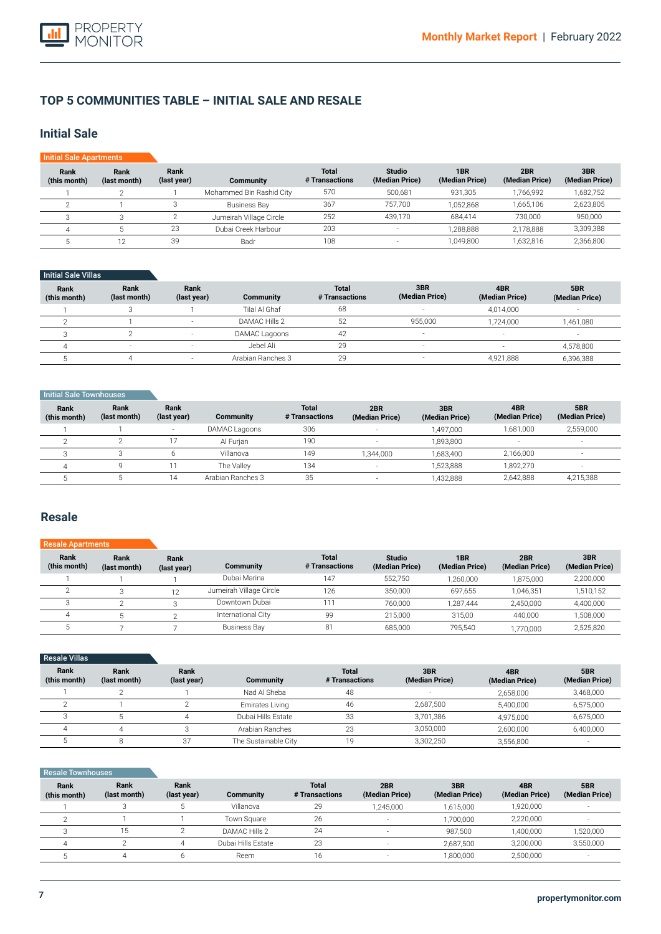# **TOP 5 COMMUNITIES TABLE – INITIAL SALE AND RESALE**

# **Initial Sale**

| <b>Initial Sale Apartments</b> |                      |                     |                          |                                |                                 |                       |                       |                       |
|--------------------------------|----------------------|---------------------|--------------------------|--------------------------------|---------------------------------|-----------------------|-----------------------|-----------------------|
| Rank<br>(this month)           | Rank<br>(last month) | Rank<br>(last year) | Community                | <b>Total</b><br># Transactions | <b>Studio</b><br>(Median Price) | 1BR<br>(Median Price) | 2BR<br>(Median Price) | 3BR<br>(Median Price) |
|                                |                      |                     | Mohammed Bin Rashid City | 570                            | 500.681                         | 931.305               | 1.766.992             | 1,682,752             |
|                                |                      |                     | <b>Business Bay</b>      | 367                            | 757.700                         | 1.052.868             | 1.665.106             | 2,623,805             |
| З                              |                      |                     | Jumeirah Village Circle  | 252                            | 439.170                         | 684.414               | 730.000               | 950,000               |
|                                |                      | 23                  | Dubai Creek Harbour      | 203                            | $\sim$                          | 1.288.888             | 2.178.888             | 3,309,388             |
|                                |                      | 39                  | Badr                     | 108                            |                                 | 1,049,800             | 1.632.816             | 2,366,800             |

## Initial Sale Villas

| Rank<br>(this month) | Rank<br>(last month) | Rank<br>(last year)      | <b>Community</b>  | <b>Total</b><br># Transactions | 3BR<br>(Median Price)    | 4BR<br>(Median Price)    | 5BR<br>(Median Price) |
|----------------------|----------------------|--------------------------|-------------------|--------------------------------|--------------------------|--------------------------|-----------------------|
|                      |                      |                          | Tilal Al Ghaf     | 68                             | $\overline{\phantom{a}}$ | 4.014.000                | -                     |
|                      |                      |                          | DAMAC Hills 2     | 52                             | 955.000                  | 1.724.000                | 1,461,080             |
|                      |                      |                          | DAMAC Lagoons     | 42                             | $\overline{\phantom{a}}$ | $\sim$                   | н.                    |
| $\Delta$             | $\sim$               | $\overline{\phantom{a}}$ | Jebel Ali         | 29                             | $\overline{\phantom{a}}$ | $\overline{\phantom{a}}$ | 4,578,800             |
|                      |                      |                          | Arabian Ranches 3 | 29                             | $\overline{\phantom{a}}$ | 4.921.888                | 6,396,388             |

### **Initial Sale Townhouses**

| Rank<br>(this month) | Rank<br>(last month) | Rank<br>(last year) | Community         | <b>Total</b><br># Transactions | 2BR<br>(Median Price)    | 3BR<br>(Median Price) | 4BR<br>(Median Price) | 5BR<br>(Median Price) |
|----------------------|----------------------|---------------------|-------------------|--------------------------------|--------------------------|-----------------------|-----------------------|-----------------------|
|                      |                      | -                   | DAMAC Lagoons     | 306                            | $\overline{\phantom{a}}$ | 1.497.000             | 1.681.000             | 2,559,000             |
|                      |                      |                     | Al Furian         | 190                            |                          | 1.893.800             |                       | $\sim$                |
|                      |                      |                     | Villanova         | 149                            | 1.344.000                | 1.683.400             | 2,166,000             | $\sim$                |
|                      |                      |                     | The Vallev        | 134                            | in 1919.                 | 1.523.888             | 1,892,270             | $\sim$                |
|                      |                      | 14                  | Arabian Ranches 3 | 35                             | $\overline{\phantom{a}}$ | 1,432,888             | 2,642,888             | 4,215,388             |

# **Resale**

| <b>Resale Apartments</b> |                      |                     |                         |                                |                                 |                       |                       |                       |
|--------------------------|----------------------|---------------------|-------------------------|--------------------------------|---------------------------------|-----------------------|-----------------------|-----------------------|
| Rank<br>(this month)     | Rank<br>(last month) | Rank<br>(last year) | Community               | <b>Total</b><br># Transactions | <b>Studio</b><br>(Median Price) | 1BR<br>(Median Price) | 2BR<br>(Median Price) | 3BR<br>(Median Price) |
|                          |                      |                     | Dubai Marina            | 147                            | 552,750                         | 1,260,000             | 1.875.000             | 2,200,000             |
|                          |                      | 12                  | Jumeirah Village Circle | 126                            | 350.000                         | 697.655               | 1.046.351             | 1,510,152             |
|                          |                      |                     | Downtown Dubai          | 111                            | 760.000                         | 1,287,444             | 2,450,000             | 4,400,000             |
|                          |                      |                     | International City      | 99                             | 215,000                         | 315.00                | 440.000               | 1,508,000             |
|                          |                      |                     | <b>Business Bay</b>     | 81                             | 685.000                         | 795.540               | 1,770,000             | 2,525,820             |

| <b>Resale Villas</b> |                      |                     |                        |                                |                          |                       |                       |
|----------------------|----------------------|---------------------|------------------------|--------------------------------|--------------------------|-----------------------|-----------------------|
| Rank<br>(this month) | Rank<br>(last month) | Rank<br>(last year) | Community              | <b>Total</b><br># Transactions | 3BR<br>(Median Price)    | 4BR<br>(Median Price) | 5BR<br>(Median Price) |
|                      |                      |                     | Nad Al Sheba           | 48                             | $\overline{\phantom{a}}$ | 2,658,000             | 3,468,000             |
|                      |                      |                     | <b>Emirates Living</b> | 46                             | 2,687,500                | 5,400,000             | 6,575,000             |
|                      |                      |                     | Dubai Hills Estate     | 33                             | 3,701,386                | 4,975,000             | 6,675,000             |
|                      |                      |                     | Arabian Ranches        | 23                             | 3,050,000                | 2,600,000             | 6,400,000             |
|                      |                      | 37                  | The Sustainable City   | 19                             | 3,302,250                | 3,556,800             | -                     |

## Resale Townhouses

| Rank<br>(this month) | Rank<br>(last month) | Rank<br>(last year) | <b>Community</b>   | Total<br># Transactions | 2BR<br>(Median Price) | 3BR<br>(Median Price) | 4BR<br>(Median Price) | 5BR<br>(Median Price) |
|----------------------|----------------------|---------------------|--------------------|-------------------------|-----------------------|-----------------------|-----------------------|-----------------------|
|                      |                      |                     | Villanova          | 29                      | 1.245.000             | 1,615,000             | 1,920,000             | $\sim$                |
|                      |                      |                     | Town Square        | 26                      |                       | 1.700.000             | 2,220,000             |                       |
|                      | 15                   |                     | DAMAC Hills 2      | 24                      |                       | 987.500               | 1,400,000             | 1,520,000             |
|                      |                      |                     | Dubai Hills Estate | 23                      |                       | 2.687.500             | 3,200,000             | 3,550,000             |
|                      |                      |                     | Reem               | 16                      | - 2                   | 1,800,000             | 2,500,000             | $\sim$                |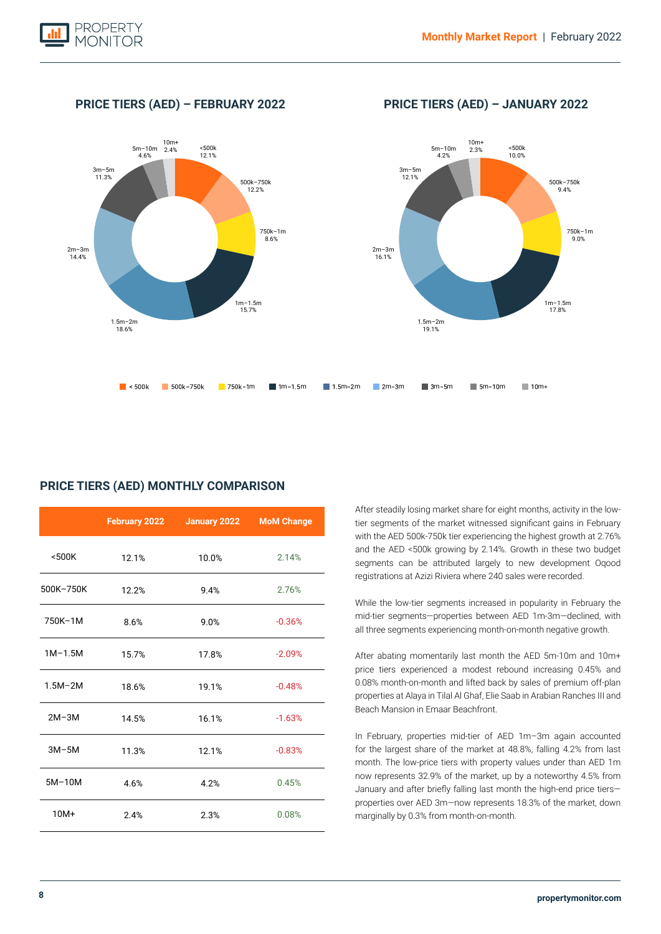

**PRICE TIERS (AED) – FEBRUARY 2022 PRICE TIERS (AED) – JANUARY 2022**



# **PRICE TIERS (AED) MONTHLY COMPARISON**

|             | February 2022 | January 2022 | <b>MoM Change</b> |
|-------------|---------------|--------------|-------------------|
| $500K$      | 12.1%         | 10.0%        | 2.14%             |
| 500K-750K   | 12.2%         | 9.4%         | 2.76%             |
| 750K-1M     | 8.6%          | 9.0%         | $-0.36%$          |
| $1M-1.5M$   | 15.7%         | 17.8%        | $-2.09%$          |
| $1.5M - 2M$ | 18.6%         | 19.1%        | $-0.48%$          |
| $2M-3M$     | 14.5%         | 16.1%        | $-1.63%$          |
| $3M-5M$     | 11.3%         | 12.1%        | $-0.83%$          |
| $5M-10M$    | 4.6%          | 4.2%         | 0.45%             |
| $10M+$      | 2.4%          | 2.3%         | 0.08%             |

After steadily losing market share for eight months, activity in the lowtier segments of the market witnessed significant gains in February with the AED 500k-750k tier experiencing the highest growth at 2.76% and the AED <500k growing by 2.14%. Growth in these two budget segments can be attributed largely to new development Oqood registrations at Azizi Riviera where 240 sales were recorded.

While the low-tier segments increased in popularity in February the mid-tier segments—properties between AED 1m-3m—declined, with all three segments experiencing month-on-month negative growth.

After abating momentarily last month the AED 5m-10m and 10m+ price tiers experienced a modest rebound increasing 0.45% and 0.08% month-on-month and lifted back by sales of premium off-plan properties at Alaya in Tilal Al Ghaf, Elie Saab in Arabian Ranches III and Beach Mansion in Emaar Beachfront.

In February, properties mid-tier of AED 1m–3m again accounted for the largest share of the market at 48.8%, falling 4.2% from last month. The low-price tiers with property values under than AED 1m now represents 32.9% of the market, up by a noteworthy 4.5% from January and after briefly falling last month the high-end price tiers properties over AED 3m—now represents 18.3% of the market, down marginally by 0.3% from month-on-month.